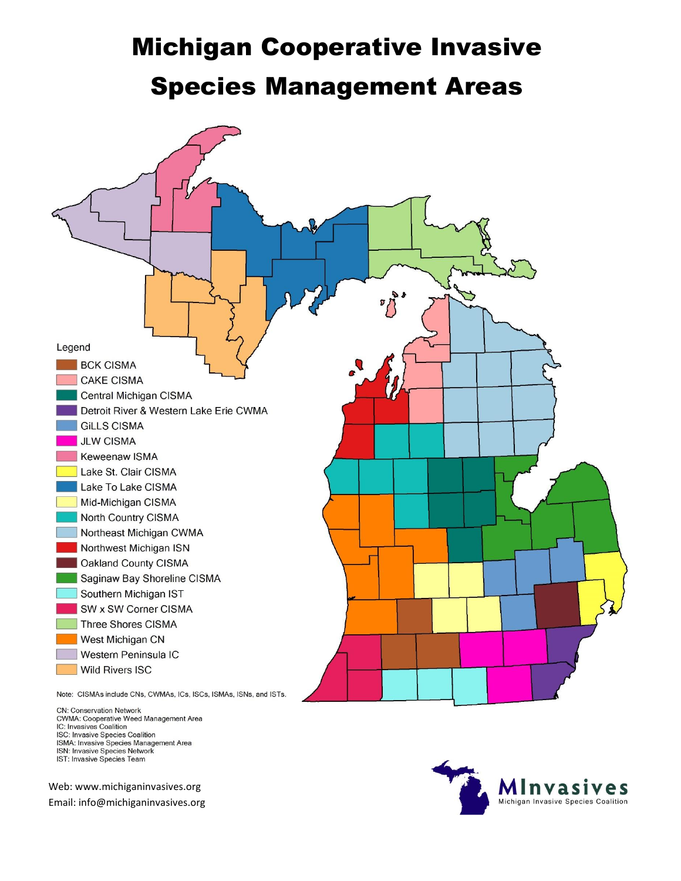## Michigan Cooperative Invasive Species Management Areas



CN: Conservation Network CWMA: Cooperative Weed Management Area<br>IC: Invasives Coalition ISC: Invasive Species Coalition ISMA: Invasive Species Management Area ISN: Invasive Species Network IST: Invasive Species Team

Web: www.michiganinvasives.org Email: info@michiganinvasives.org